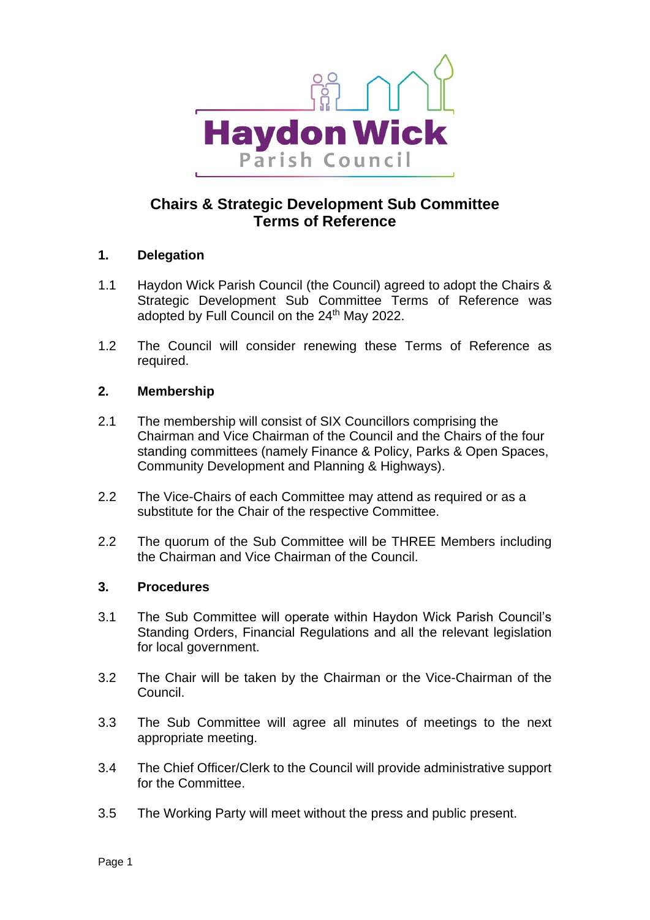

# **Chairs & Strategic Development Sub Committee Terms of Reference**

## **1. Delegation**

- 1.1 Haydon Wick Parish Council (the Council) agreed to adopt the Chairs & Strategic Development Sub Committee Terms of Reference was adopted by Full Council on the 24<sup>th</sup> May 2022.
- 1.2 The Council will consider renewing these Terms of Reference as required.

## **2. Membership**

- 2.1 The membership will consist of SIX Councillors comprising the Chairman and Vice Chairman of the Council and the Chairs of the four standing committees (namely Finance & Policy, Parks & Open Spaces, Community Development and Planning & Highways).
- 2.2 The Vice-Chairs of each Committee may attend as required or as a substitute for the Chair of the respective Committee.
- 2.2 The quorum of the Sub Committee will be THREE Members including the Chairman and Vice Chairman of the Council.

#### **3. Procedures**

- 3.1 The Sub Committee will operate within Haydon Wick Parish Council's Standing Orders, Financial Regulations and all the relevant legislation for local government.
- 3.2 The Chair will be taken by the Chairman or the Vice-Chairman of the Council.
- 3.3 The Sub Committee will agree all minutes of meetings to the next appropriate meeting.
- 3.4 The Chief Officer/Clerk to the Council will provide administrative support for the Committee.
- 3.5 The Working Party will meet without the press and public present.